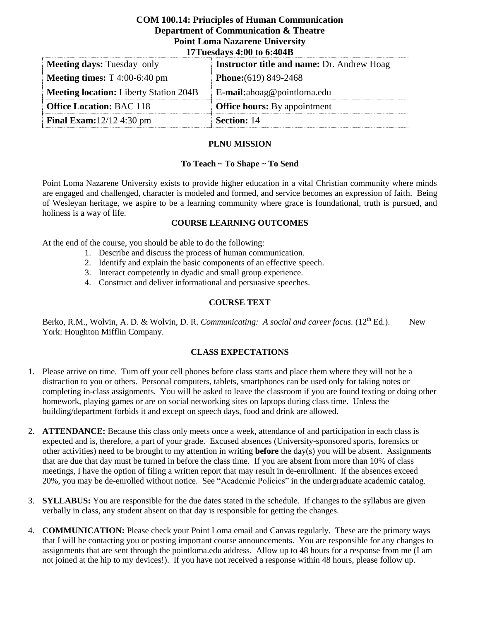### **COM 100.14: Principles of Human Communication Department of Communication & Theatre Point Loma Nazarene University 17Tuesdays 4:00 to 6:404B**

| $1/1$ uesuays $4.00$ to 0.404D                  |                                                   |  |  |  |
|-------------------------------------------------|---------------------------------------------------|--|--|--|
| <b>Meeting days:</b> Tuesday only               | <b>Instructor title and name: Dr. Andrew Hoag</b> |  |  |  |
| <b>Meeting times:</b> $T\ 4:00-6:40 \text{ pm}$ | <b>Phone:</b> $(619) 849-2468$                    |  |  |  |
| <b>Meeting location:</b> Liberty Station 204B   | E-mail:ahoag@pointloma.edu                        |  |  |  |
| <b>Office Location: BAC 118</b>                 | <b>Office hours:</b> By appointment               |  |  |  |
| <b>Final Exam:</b> $12/12$ 4:30 pm              | <b>Section: 14</b>                                |  |  |  |

## **PLNU MISSION**

### **To Teach ~ To Shape ~ To Send**

Point Loma Nazarene University exists to provide higher education in a vital Christian community where minds are engaged and challenged, character is modeled and formed, and service becomes an expression of faith. Being of Wesleyan heritage, we aspire to be a learning community where grace is foundational, truth is pursued, and holiness is a way of life.

#### **COURSE LEARNING OUTCOMES**

At the end of the course, you should be able to do the following:

- 1. Describe and discuss the process of human communication.
- 2. Identify and explain the basic components of an effective speech.
- 3. Interact competently in dyadic and small group experience.
- 4. Construct and deliver informational and persuasive speeches.

#### **COURSE TEXT**

Berko, R.M., Wolvin, A. D. & Wolvin, D. R. *Communicating: A social and career focus.* (12<sup>th</sup> Ed.). New York: Houghton Mifflin Company.

#### **CLASS EXPECTATIONS**

- 1. Please arrive on time. Turn off your cell phones before class starts and place them where they will not be a distraction to you or others. Personal computers, tablets, smartphones can be used only for taking notes or completing in-class assignments. You will be asked to leave the classroom if you are found texting or doing other homework, playing games or are on social networking sites on laptops during class time. Unless the building/department forbids it and except on speech days, food and drink are allowed.
- 2. **ATTENDANCE:** Because this class only meets once a week, attendance of and participation in each class is expected and is, therefore, a part of your grade. Excused absences (University-sponsored sports, forensics or other activities) need to be brought to my attention in writing **before** the day(s) you will be absent. Assignments that are due that day must be turned in before the class time. If you are absent from more than 10% of class meetings, I have the option of filing a written report that may result in de-enrollment. If the absences exceed 20%, you may be de-enrolled without notice. See "Academic Policies" in the undergraduate academic catalog.
- 3. **SYLLABUS:** You are responsible for the due dates stated in the schedule. If changes to the syllabus are given verbally in class, any student absent on that day is responsible for getting the changes.
- 4. **COMMUNICATION:** Please check your Point Loma email and Canvas regularly. These are the primary ways that I will be contacting you or posting important course announcements. You are responsible for any changes to assignments that are sent through the pointloma.edu address. Allow up to 48 hours for a response from me (I am not joined at the hip to my devices!). If you have not received a response within 48 hours, please follow up.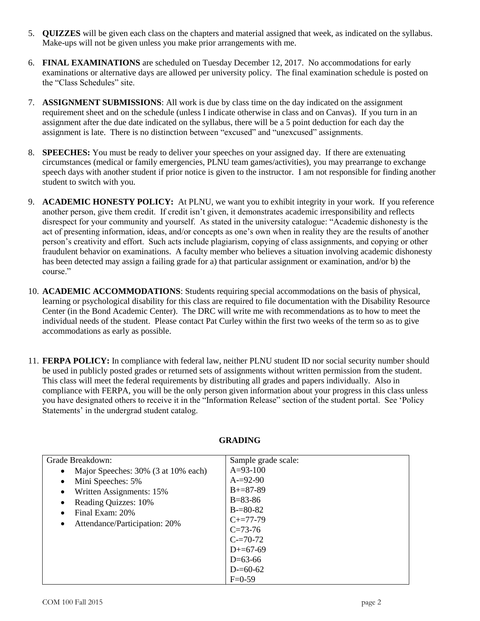- 5. **QUIZZES** will be given each class on the chapters and material assigned that week, as indicated on the syllabus. Make-ups will not be given unless you make prior arrangements with me.
- 6. **FINAL EXAMINATIONS** are scheduled on Tuesday December 12, 2017. No accommodations for early examinations or alternative days are allowed per university policy. The final examination schedule is posted on the "Class Schedules" site.
- 7. **ASSIGNMENT SUBMISSIONS**: All work is due by class time on the day indicated on the assignment requirement sheet and on the schedule (unless I indicate otherwise in class and on Canvas). If you turn in an assignment after the due date indicated on the syllabus, there will be a 5 point deduction for each day the assignment is late. There is no distinction between "excused" and "unexcused" assignments.
- 8. **SPEECHES:** You must be ready to deliver your speeches on your assigned day. If there are extenuating circumstances (medical or family emergencies, PLNU team games/activities), you may prearrange to exchange speech days with another student if prior notice is given to the instructor. I am not responsible for finding another student to switch with you.
- 9. **ACADEMIC HONESTY POLICY:** At PLNU, we want you to exhibit integrity in your work. If you reference another person, give them credit. If credit isn't given, it demonstrates academic irresponsibility and reflects disrespect for your community and yourself. As stated in the university catalogue: "Academic dishonesty is the act of presenting information, ideas, and/or concepts as one's own when in reality they are the results of another person's creativity and effort. Such acts include plagiarism, copying of class assignments, and copying or other fraudulent behavior on examinations. A faculty member who believes a situation involving academic dishonesty has been detected may assign a failing grade for a) that particular assignment or examination, and/or b) the course."
- 10. **ACADEMIC ACCOMMODATIONS**: Students requiring special accommodations on the basis of physical, learning or psychological disability for this class are required to file documentation with the Disability Resource Center (in the Bond Academic Center). The DRC will write me with recommendations as to how to meet the individual needs of the student. Please contact Pat Curley within the first two weeks of the term so as to give accommodations as early as possible.
- 11. **FERPA POLICY:** In compliance with federal law, neither PLNU student ID nor social security number should be used in publicly posted grades or returned sets of assignments without written permission from the student. This class will meet the federal requirements by distributing all grades and papers individually. Also in compliance with FERPA, you will be the only person given information about your progress in this class unless you have designated others to receive it in the "Information Release" section of the student portal. See 'Policy Statements' in the undergrad student catalog.

| Grade Breakdown:                                 | Sample grade scale: |
|--------------------------------------------------|---------------------|
| Major Speeches: 30% (3 at 10% each)<br>$\bullet$ | $A=93-100$          |
| Mini Speeches: 5%<br>$\bullet$                   | $A = 92 - 90$       |
| Written Assignments: 15%<br>$\bullet$            | $B + = 87 - 89$     |
| Reading Quizzes: 10%<br>$\bullet$                | $B = 83 - 86$       |
| Final Exam: 20%<br>$\bullet$                     | $B = 80 - 82$       |
| Attendance/Participation: 20%<br>$\bullet$       | $C+=77-79$          |
|                                                  | $C=73-76$           |
|                                                  | $C = 70-72$         |
|                                                  | $D+=67-69$          |
|                                                  | $D=63-66$           |
|                                                  | $D = 60 - 62$       |
|                                                  | $F=0-59$            |

# **GRADING**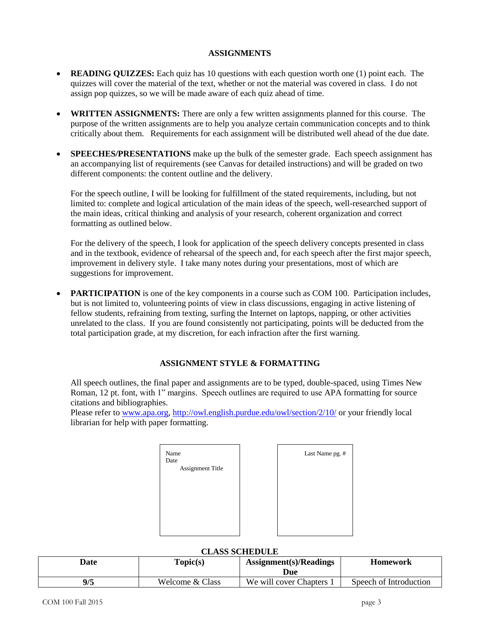### **ASSIGNMENTS**

- **READING QUIZZES:** Each quiz has 10 questions with each question worth one (1) point each. The quizzes will cover the material of the text, whether or not the material was covered in class. I do not assign pop quizzes, so we will be made aware of each quiz ahead of time.
- **WRITTEN ASSIGNMENTS:** There are only a few written assignments planned for this course. The purpose of the written assignments are to help you analyze certain communication concepts and to think critically about them. Requirements for each assignment will be distributed well ahead of the due date.
- **SPEECHES/PRESENTATIONS** make up the bulk of the semester grade. Each speech assignment has an accompanying list of requirements (see Canvas for detailed instructions) and will be graded on two different components: the content outline and the delivery.

For the speech outline, I will be looking for fulfillment of the stated requirements, including, but not limited to: complete and logical articulation of the main ideas of the speech, well-researched support of the main ideas, critical thinking and analysis of your research, coherent organization and correct formatting as outlined below.

For the delivery of the speech, I look for application of the speech delivery concepts presented in class and in the textbook, evidence of rehearsal of the speech and, for each speech after the first major speech, improvement in delivery style. I take many notes during your presentations, most of which are suggestions for improvement.

**PARTICIPATION** is one of the key components in a course such as COM 100. Participation includes, but is not limited to, volunteering points of view in class discussions, engaging in active listening of fellow students, refraining from texting, surfing the Internet on laptops, napping, or other activities unrelated to the class. If you are found consistently not participating, points will be deducted from the total participation grade, at my discretion, for each infraction after the first warning.

# **ASSIGNMENT STYLE & FORMATTING**

All speech outlines, the final paper and assignments are to be typed, double-spaced, using Times New Roman, 12 pt. font, with 1" margins. Speech outlines are required to use APA formatting for source citations and bibliographies.

Please refer to [www.apa.org,](http://www.apa.org/)<http://owl.english.purdue.edu/owl/section/2/10/> or your friendly local librarian for help with paper formatting.

| Name<br>Date            |
|-------------------------|
| <b>Assignment Title</b> |
|                         |
|                         |
|                         |
|                         |
|                         |
|                         |



#### **CLASS SCHEDULE**

| Date | Topic(s)        | $\text{Assignment}(s)/\text{Readings}$<br>Due | <b>Homework</b>        |
|------|-----------------|-----------------------------------------------|------------------------|
| 9/5  | Welcome & Class | We will cover Chapters 1                      | Speech of Introduction |